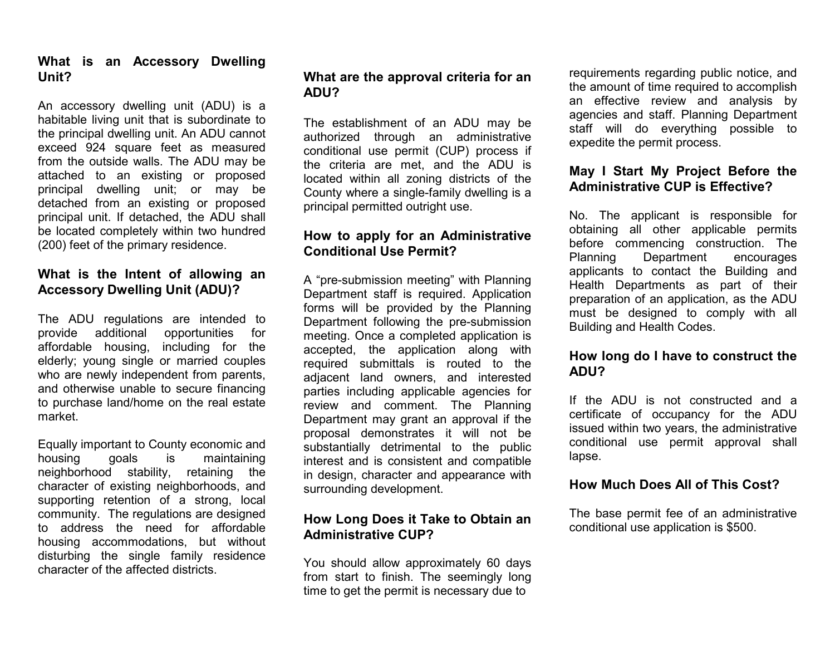#### **What is an Accessory Dwelling Unit?**

An accessory dwelling unit (ADU) is a habitable living unit that is subordinate to the principal dwelling unit. An ADU cannot exceed 924 square feet as measured from the outside walls. The ADU may be attached to an existing or proposed principal dwelling unit; or may be detached from an existing or proposed principal unit. If detached, the ADU shall be located completely within two hundred (200) feet of the primary residence.

### **What is the Intent of allowing an Accessory Dwelling Unit (ADU)?**

The ADU regulations are intended to provide additional opportunities for affordable housing, including for the elderly; young single or married couples who are newly independent from parents, and otherwise unable to secure financing to purchase land/home on the real estate market.

Equally important to County economic and housing goals is maintaining neighborhood stability, retaining the character of existing neighborhoods, and supporting retention of a strong, local community. The regulations are designed to address the need for affordable housing accommodations, but without disturbing the single family residence character of the affected districts.

#### **What are the approval criteria for an ADU?**

The establishment of an ADU may be authorized through an administrative conditional use permit (CUP) process if the criteria are met, and the ADU is located within all zoning districts of the County where a single-family dwelling is a principal permitted outright use.

#### **How to apply for an Administrative Conditional Use Permit?**

A "pre-submission meeting" with Planning Department staff is required. Application forms will be provided by the Planning Department following the pre-submission meeting. Once a completed application is accepted, the application along with required submittals is routed to the adjacent land owners, and interested parties including applicable agencies for review and comment. The Planning Department may grant an approval if the proposal demonstrates it will not be substantially detrimental to the public interest and is consistent and compatible in design, character and appearance with surrounding development.

#### **How Long Does it Take to Obtain an Administrative CUP?**

You should allow approximately 60 days from start to finish. The seemingly long time to get the permit is necessary due to

requirements regarding public notice, and the amount of time required to accomplish an effective review and analysis by agencies and staff. Planning Department staff will do everything possible to expedite the permit process.

## **May I Start My Project Before the Administrative CUP is Effective?**

No. The applicant is responsible for obtaining all other applicable permits before commencing construction. The Planning Department encourages applicants to contact the Building and Health Departments as part of their preparation of an application, as the ADU must be designed to comply with all Building and Health Codes.

## **How long do I have to construct the ADU?**

If the ADU is not constructed and a certificate of occupancy for the ADU issued within two years, the administrative conditional use permit approval shall lapse.

#### **How Much Does All of This Cost?**

The base permit fee of an administrative conditional use application is \$500.